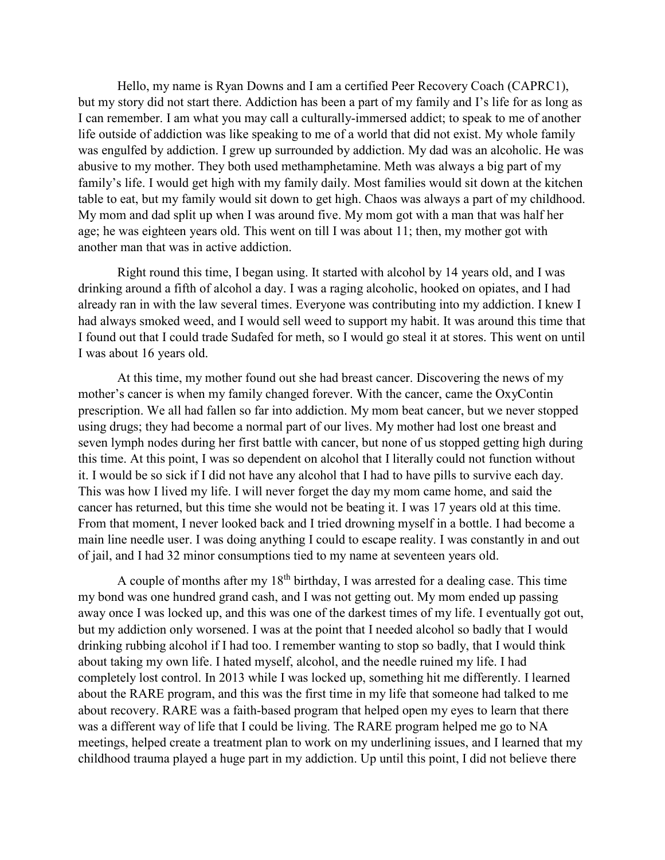Hello, my name is Ryan Downs and I am a certified Peer Recovery Coach (CAPRC1), but my story did not start there. Addiction has been a part of my family and I's life for as long as I can remember. I am what you may call a culturally-immersed addict; to speak to me of another life outside of addiction was like speaking to me of a world that did not exist. My whole family was engulfed by addiction. I grew up surrounded by addiction. My dad was an alcoholic. He was abusive to my mother. They both used methamphetamine. Meth was always a big part of my family's life. I would get high with my family daily. Most families would sit down at the kitchen table to eat, but my family would sit down to get high. Chaos was always a part of my childhood. My mom and dad split up when I was around five. My mom got with a man that was half her age; he was eighteen years old. This went on till I was about 11; then, my mother got with another man that was in active addiction.

Right round this time, I began using. It started with alcohol by 14 years old, and I was drinking around a fifth of alcohol a day. I was a raging alcoholic, hooked on opiates, and I had already ran in with the law several times. Everyone was contributing into my addiction. I knew I had always smoked weed, and I would sell weed to support my habit. It was around this time that I found out that I could trade Sudafed for meth, so I would go steal it at stores. This went on until I was about 16 years old.

At this time, my mother found out she had breast cancer. Discovering the news of my mother's cancer is when my family changed forever. With the cancer, came the OxyContin prescription. We all had fallen so far into addiction. My mom beat cancer, but we never stopped using drugs; they had become a normal part of our lives. My mother had lost one breast and seven lymph nodes during her first battle with cancer, but none of us stopped getting high during this time. At this point, I was so dependent on alcohol that I literally could not function without it. I would be so sick if I did not have any alcohol that I had to have pills to survive each day. This was how I lived my life. I will never forget the day my mom came home, and said the cancer has returned, but this time she would not be beating it. I was 17 years old at this time. From that moment, I never looked back and I tried drowning myself in a bottle. I had become a main line needle user. I was doing anything I could to escape reality. I was constantly in and out of jail, and I had 32 minor consumptions tied to my name at seventeen years old.

A couple of months after my  $18<sup>th</sup>$  birthday, I was arrested for a dealing case. This time my bond was one hundred grand cash, and I was not getting out. My mom ended up passing away once I was locked up, and this was one of the darkest times of my life. I eventually got out, but my addiction only worsened. I was at the point that I needed alcohol so badly that I would drinking rubbing alcohol if I had too. I remember wanting to stop so badly, that I would think about taking my own life. I hated myself, alcohol, and the needle ruined my life. I had completely lost control. In 2013 while I was locked up, something hit me differently. I learned about the RARE program, and this was the first time in my life that someone had talked to me about recovery. RARE was a faith-based program that helped open my eyes to learn that there was a different way of life that I could be living. The RARE program helped me go to NA meetings, helped create a treatment plan to work on my underlining issues, and I learned that my childhood trauma played a huge part in my addiction. Up until this point, I did not believe there